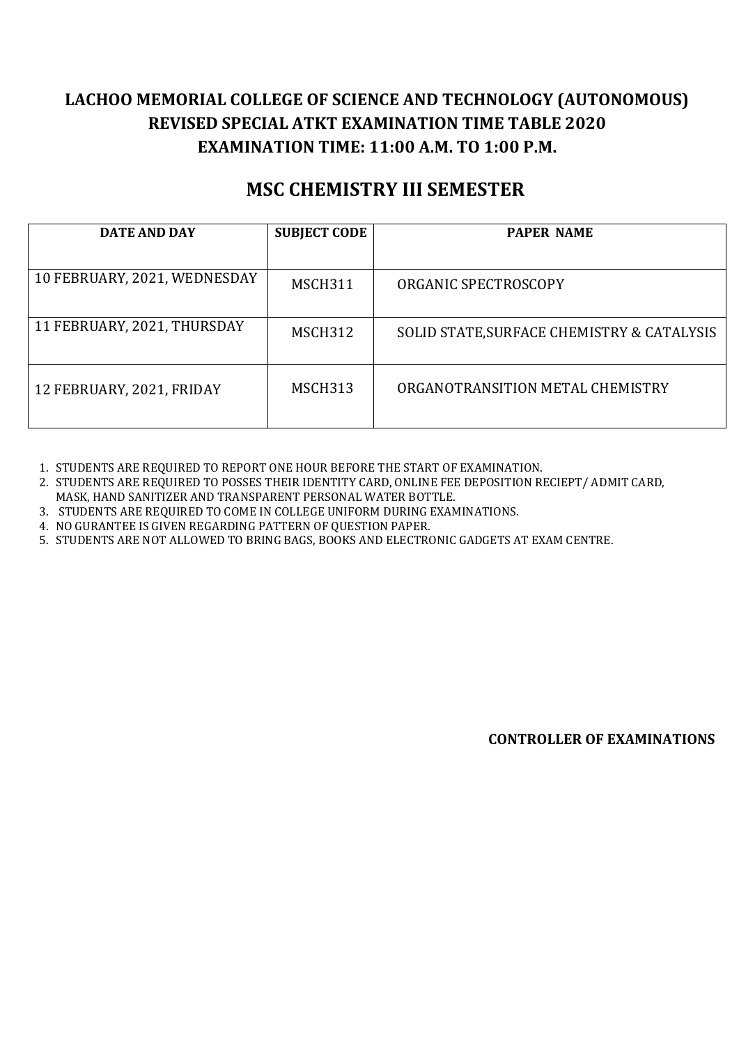## **LACHOO MEMORIAL COLLEGE OF SCIENCE AND TECHNOLOGY (AUTONOMOUS) REVISED SPECIAL ATKT EXAMINATION TIME TABLE 2020 EXAMINATION TIME: 11:00 A.M. TO 1:00 P.M.**

## **MSC CHEMISTRY III SEMESTER**

| <b>DATE AND DAY</b>          | <b>SUBJECT CODE</b> | <b>PAPER NAME</b>                          |
|------------------------------|---------------------|--------------------------------------------|
|                              |                     |                                            |
| 10 FEBRUARY, 2021, WEDNESDAY | MSCH311             | ORGANIC SPECTROSCOPY                       |
| 11 FEBRUARY, 2021, THURSDAY  | MSCH312             | SOLID STATE, SURFACE CHEMISTRY & CATALYSIS |
| 12 FEBRUARY, 2021, FRIDAY    | MSCH313             | ORGANOTRANSITION METAL CHEMISTRY           |

1. STUDENTS ARE REQUIRED TO REPORT ONE HOUR BEFORE THE START OF EXAMINATION.

2. STUDENTS ARE REQUIRED TO POSSES THEIR IDENTITY CARD, ONLINE FEE DEPOSITION RECIEPT/ ADMIT CARD, MASK, HAND SANITIZER AND TRANSPARENT PERSONAL WATER BOTTLE.

3. STUDENTS ARE REQUIRED TO COME IN COLLEGE UNIFORM DURING EXAMINATIONS.

4. NO GURANTEE IS GIVEN REGARDING PATTERN OF QUESTION PAPER.

5. STUDENTS ARE NOT ALLOWED TO BRING BAGS, BOOKS AND ELECTRONIC GADGETS AT EXAM CENTRE.

**CONTROLLER OF EXAMINATIONS**